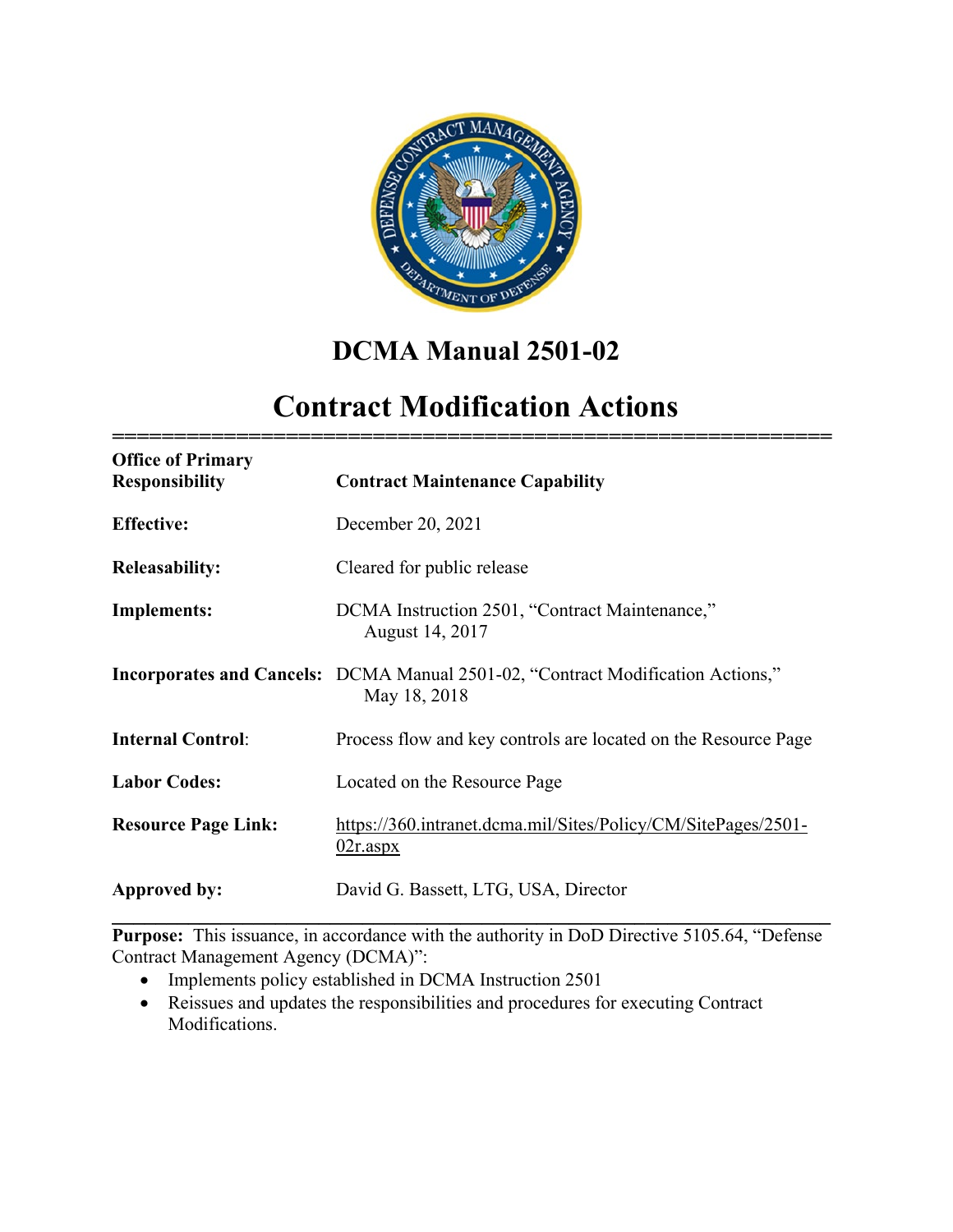

## **DCMA Manual 2501-02**

# **Contract Modification Actions**

**==========================================================**

| <b>Office of Primary</b><br><b>Responsibility</b> | <b>Contract Maintenance Capability</b>                                                                 |
|---------------------------------------------------|--------------------------------------------------------------------------------------------------------|
| <b>Effective:</b>                                 | December 20, 2021                                                                                      |
| <b>Releasability:</b>                             | Cleared for public release                                                                             |
| <b>Implements:</b>                                | DCMA Instruction 2501, "Contract Maintenance,"<br>August 14, 2017                                      |
|                                                   | <b>Incorporates and Cancels:</b> DCMA Manual 2501-02, "Contract Modification Actions,"<br>May 18, 2018 |
| <b>Internal Control:</b>                          | Process flow and key controls are located on the Resource Page                                         |
| <b>Labor Codes:</b>                               | Located on the Resource Page                                                                           |
| <b>Resource Page Link:</b>                        | https://360.intranet.dcma.mil/Sites/Policy/CM/SitePages/2501-<br>$02r$ .aspx                           |
| Approved by:                                      | David G. Bassett, LTG, USA, Director                                                                   |

**Purpose:** This issuance, in accordance with the authority in DoD Directive 5105.64, "Defense Contract Management Agency (DCMA)":

- Implements policy established in DCMA Instruction 2501
- Reissues and updates the responsibilities and procedures for executing Contract Modifications.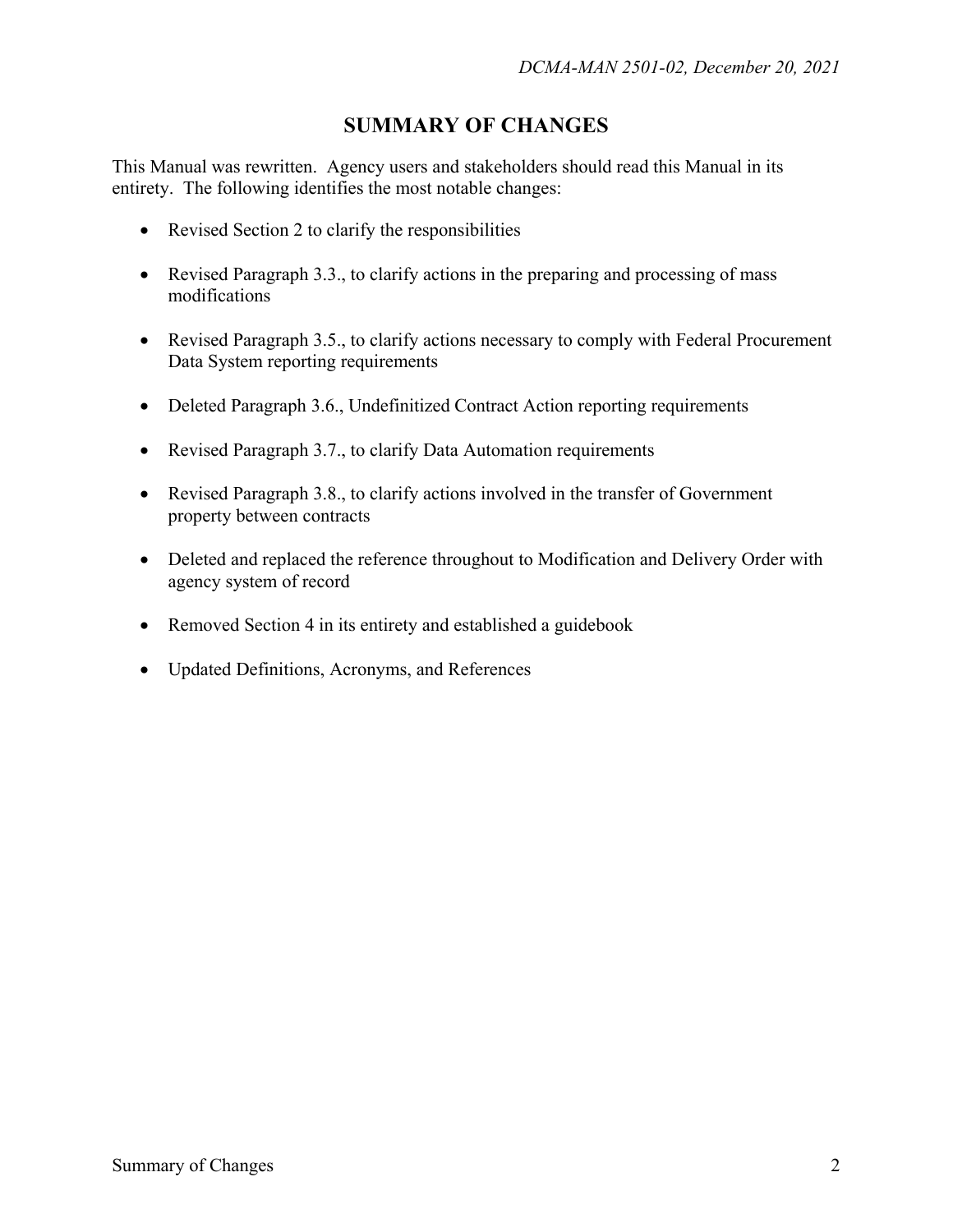## **SUMMARY OF CHANGES**

This Manual was rewritten. Agency users and stakeholders should read this Manual in its entirety. The following identifies the most notable changes:

- Revised Section 2 to clarify the responsibilities
- Revised Paragraph 3.3., to clarify actions in the preparing and processing of mass modifications
- Revised Paragraph 3.5., to clarify actions necessary to comply with Federal Procurement Data System reporting requirements
- Deleted Paragraph 3.6., Undefinitized Contract Action reporting requirements
- Revised Paragraph 3.7., to clarify Data Automation requirements
- Revised Paragraph 3.8., to clarify actions involved in the transfer of Government property between contracts
- Deleted and replaced the reference throughout to Modification and Delivery Order with agency system of record
- Removed Section 4 in its entirety and established a guidebook
- Updated Definitions, Acronyms, and References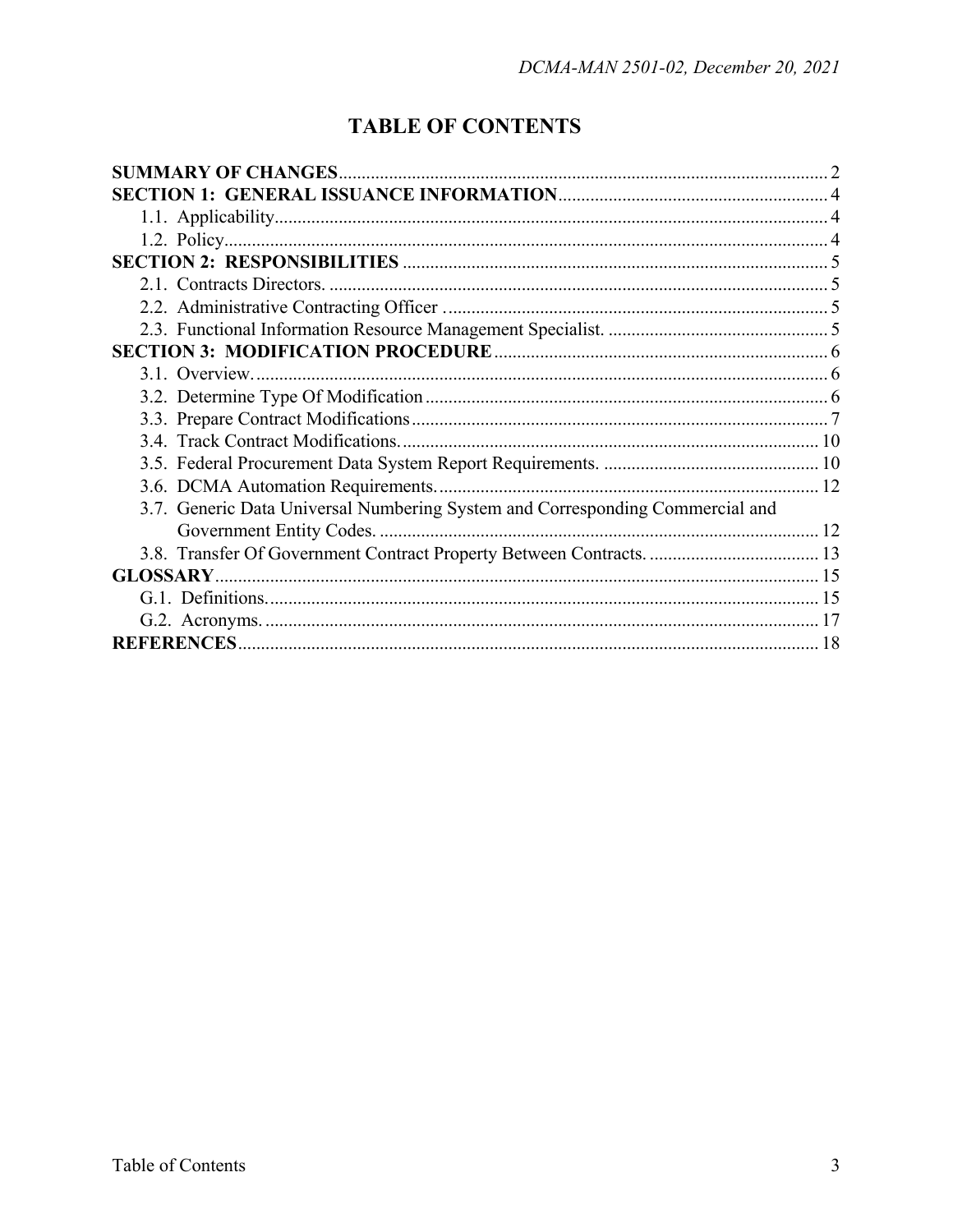## **TABLE OF CONTENTS**

| 3.7. Generic Data Universal Numbering System and Corresponding Commercial and |  |
|-------------------------------------------------------------------------------|--|
|                                                                               |  |
|                                                                               |  |
| <b>GLOSSARY.</b>                                                              |  |
|                                                                               |  |
|                                                                               |  |
|                                                                               |  |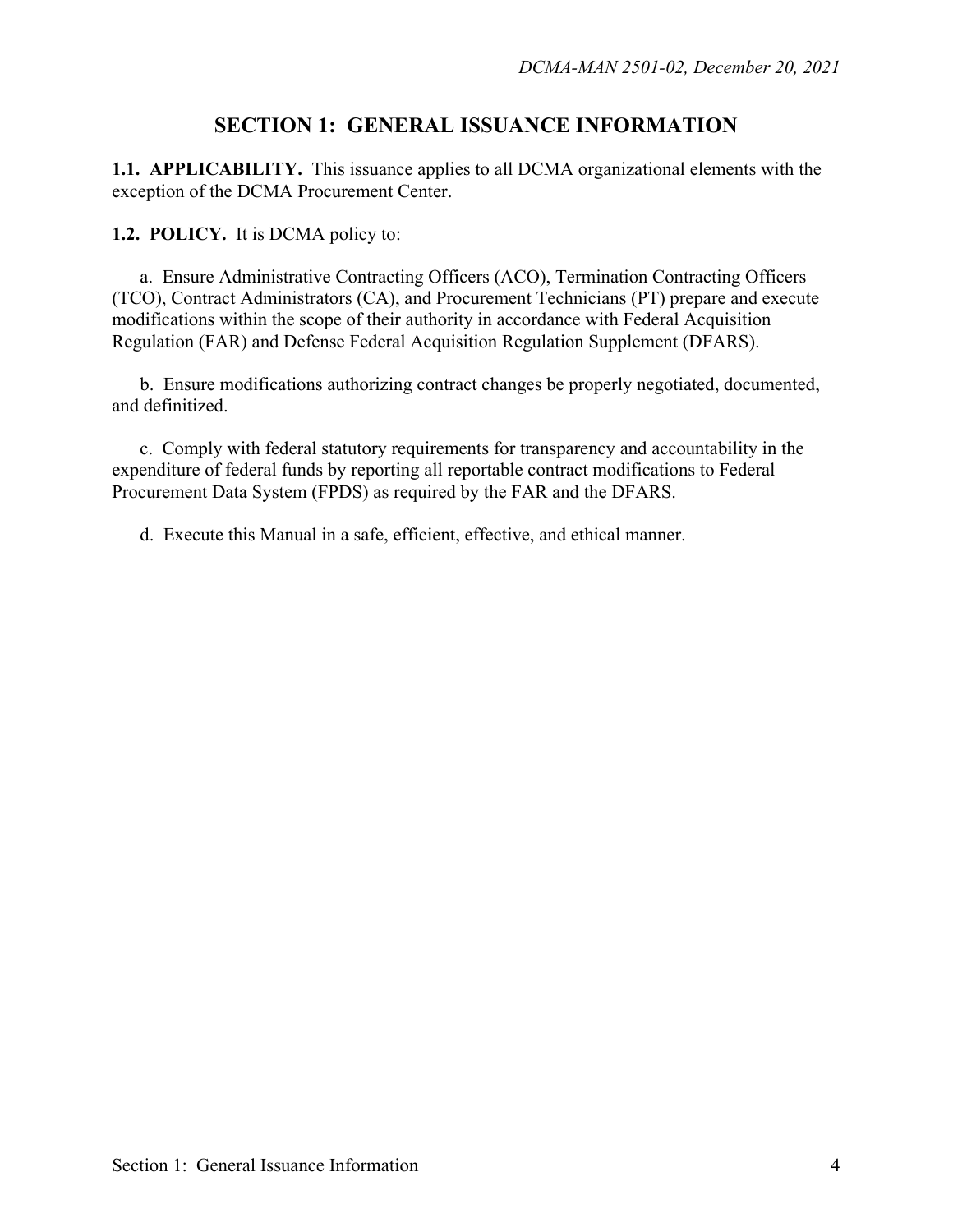### **SECTION 1: GENERAL ISSUANCE INFORMATION**

**1.1. APPLICABILITY.** This issuance applies to all DCMA organizational elements with the exception of the DCMA Procurement Center.

**1.2. POLICY.** It is DCMA policy to:

 a. Ensure Administrative Contracting Officers (ACO), Termination Contracting Officers (TCO), Contract Administrators (CA), and Procurement Technicians (PT) prepare and execute modifications within the scope of their authority in accordance with Federal Acquisition Regulation (FAR) and Defense Federal Acquisition Regulation Supplement (DFARS).

 b. Ensure modifications authorizing contract changes be properly negotiated, documented, and definitized.

 c. Comply with federal statutory requirements for transparency and accountability in the expenditure of federal funds by reporting all reportable contract modifications to Federal Procurement Data System (FPDS) as required by the FAR and the DFARS.

d. Execute this Manual in a safe, efficient, effective, and ethical manner.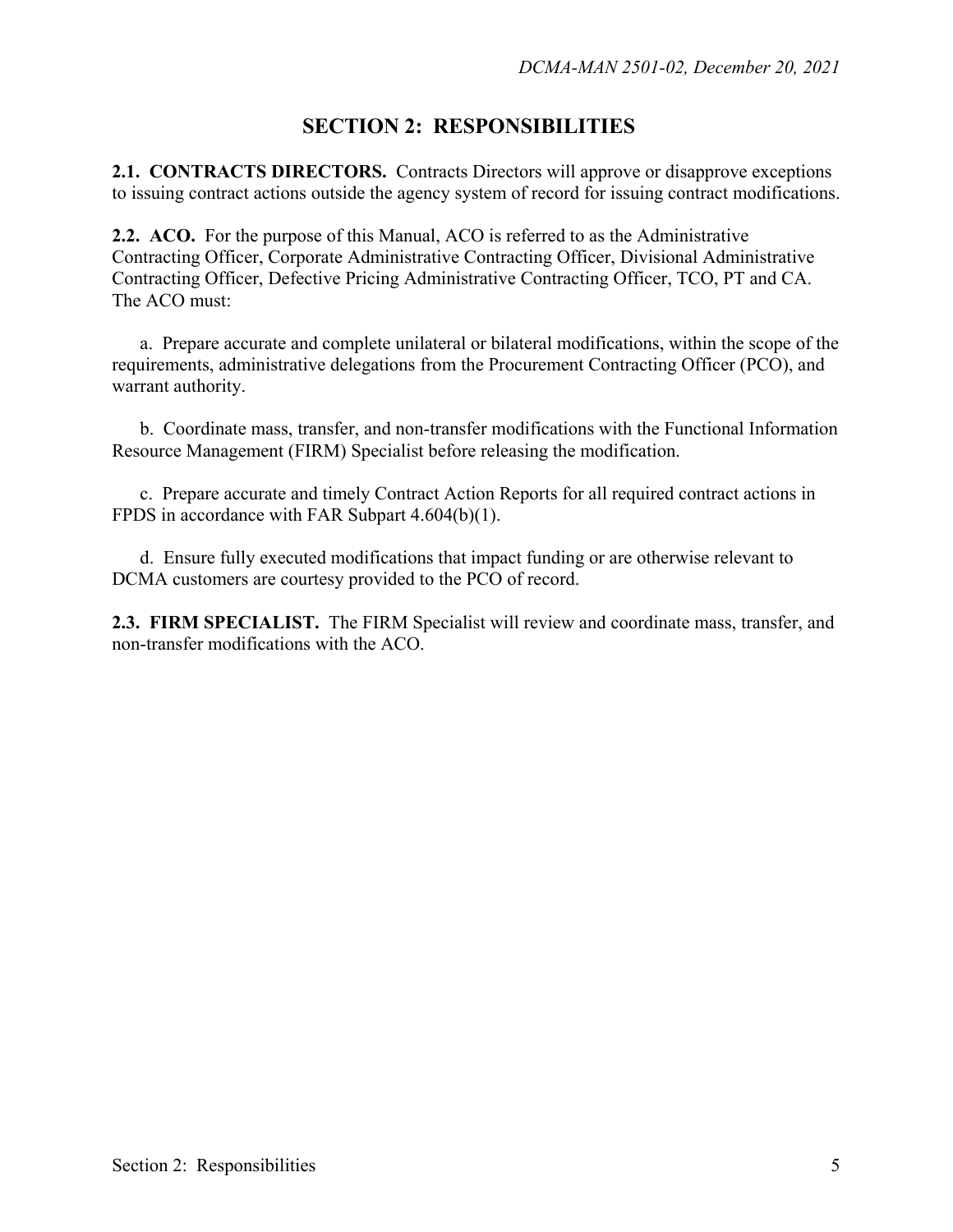## **SECTION 2: RESPONSIBILITIES**

**2.1. CONTRACTS DIRECTORS.** Contracts Directors will approve or disapprove exceptions to issuing contract actions outside the agency system of record for issuing contract modifications.

**2.2. ACO.** For the purpose of this Manual, ACO is referred to as the Administrative Contracting Officer, Corporate Administrative Contracting Officer, Divisional Administrative Contracting Officer, Defective Pricing Administrative Contracting Officer, TCO, PT and CA. The ACO must:

 a. Prepare accurate and complete unilateral or bilateral modifications, within the scope of the requirements, administrative delegations from the Procurement Contracting Officer (PCO), and warrant authority.

 b. Coordinate mass, transfer, and non-transfer modifications with the Functional Information Resource Management (FIRM) Specialist before releasing the modification.

c. Prepare accurate and timely Contract Action Reports for all required contract actions in FPDS in accordance with FAR Subpart 4.604(b)(1).

 d. Ensure fully executed modifications that impact funding or are otherwise relevant to DCMA customers are courtesy provided to the PCO of record.

**2.3. FIRM SPECIALIST.** The FIRM Specialist will review and coordinate mass, transfer, and non-transfer modifications with the ACO.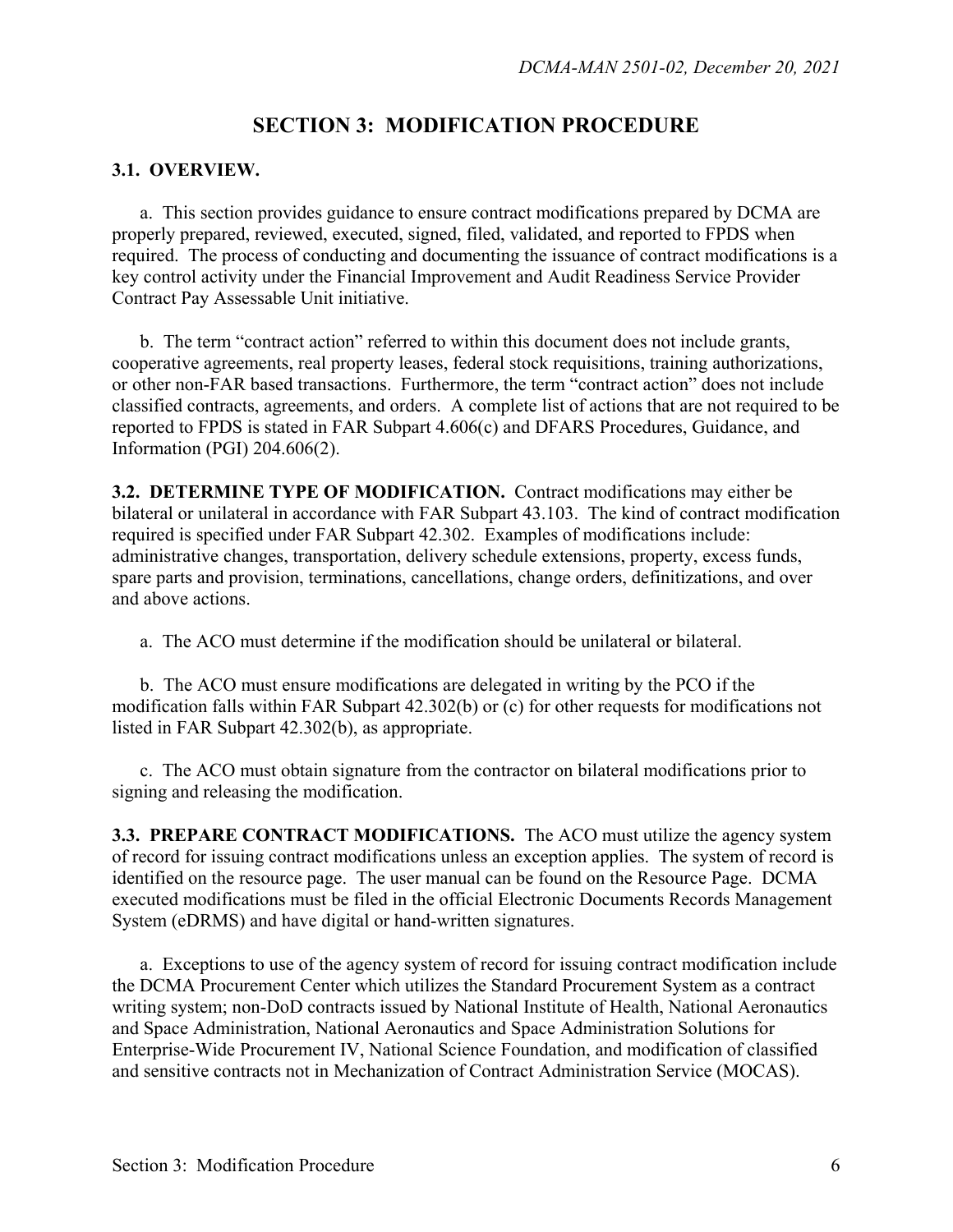### **SECTION 3: MODIFICATION PROCEDURE**

#### **3.1. OVERVIEW.**

 a. This section provides guidance to ensure contract modifications prepared by DCMA are properly prepared, reviewed, executed, signed, filed, validated, and reported to FPDS when required. The process of conducting and documenting the issuance of contract modifications is a key control activity under the Financial Improvement and Audit Readiness Service Provider Contract Pay Assessable Unit initiative.

 b. The term "contract action" referred to within this document does not include grants, cooperative agreements, real property leases, federal stock requisitions, training authorizations, or other non-FAR based transactions. Furthermore, the term "contract action" does not include classified contracts, agreements, and orders. A complete list of actions that are not required to be reported to FPDS is stated in FAR Subpart 4.606(c) and DFARS Procedures, Guidance, and Information (PGI) 204.606(2).

**3.2. DETERMINE TYPE OF MODIFICATION.** Contract modifications may either be bilateral or unilateral in accordance with FAR Subpart 43.103. The kind of contract modification required is specified under FAR Subpart 42.302. Examples of modifications include: administrative changes, transportation, delivery schedule extensions, property, excess funds, spare parts and provision, terminations, cancellations, change orders, definitizations, and over and above actions.

a. The ACO must determine if the modification should be unilateral or bilateral.

 b. The ACO must ensure modifications are delegated in writing by the PCO if the modification falls within FAR Subpart 42.302(b) or (c) for other requests for modifications not listed in FAR Subpart 42.302(b), as appropriate.

 c. The ACO must obtain signature from the contractor on bilateral modifications prior to signing and releasing the modification.

**3.3. PREPARE CONTRACT MODIFICATIONS.** The ACO must utilize the agency system of record for issuing contract modifications unless an exception applies. The system of record is identified on the resource page. The user manual can be found on the Resource Page. DCMA executed modifications must be filed in the official Electronic Documents Records Management System (eDRMS) and have digital or hand-written signatures.

a. Exceptions to use of the agency system of record for issuing contract modification include the DCMA Procurement Center which utilizes the Standard Procurement System as a contract writing system; non-DoD contracts issued by National Institute of Health, National Aeronautics and Space Administration, National Aeronautics and Space Administration Solutions for Enterprise-Wide Procurement IV, National Science Foundation, and modification of classified and sensitive contracts not in Mechanization of Contract Administration Service (MOCAS).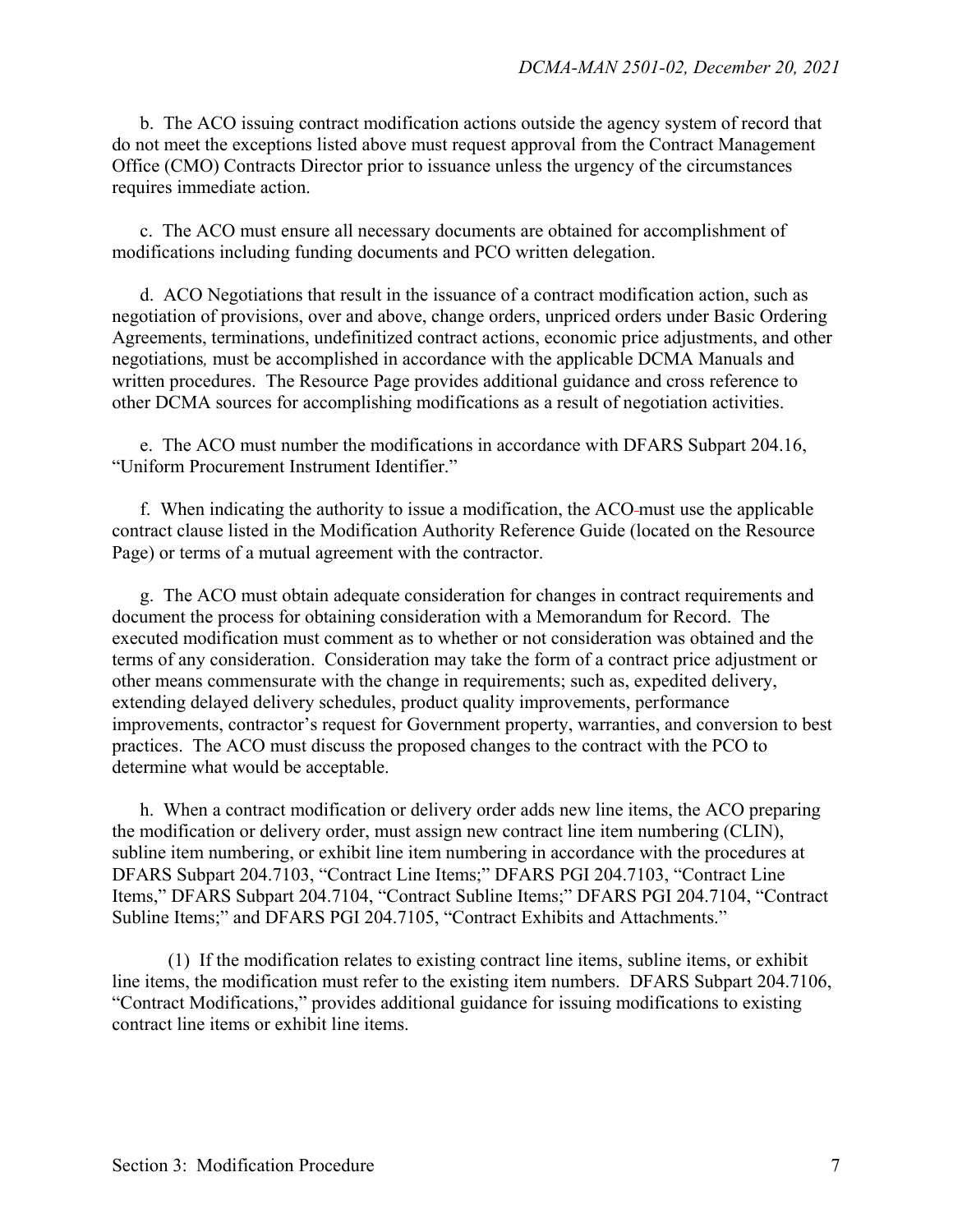b. The ACO issuing contract modification actions outside the agency system of record that do not meet the exceptions listed above must request approval from the Contract Management Office (CMO) Contracts Director prior to issuance unless the urgency of the circumstances requires immediate action.

 c. The ACO must ensure all necessary documents are obtained for accomplishment of modifications including funding documents and PCO written delegation.

d. ACO Negotiations that result in the issuance of a contract modification action, such as negotiation of provisions, over and above, change orders, unpriced orders under Basic Ordering Agreements, terminations, undefinitized contract actions, economic price adjustments, and other negotiations*,* must be accomplished in accordance with the applicable DCMA Manuals and written procedures. The Resource Page provides additional guidance and cross reference to other DCMA sources for accomplishing modifications as a result of negotiation activities.

 e. The ACO must number the modifications in accordance with DFARS Subpart 204.16, "Uniform Procurement Instrument Identifier."

 f. When indicating the authority to issue a modification, the ACO must use the applicable contract clause listed in the Modification Authority Reference Guide (located on the Resource Page) or terms of a mutual agreement with the contractor.

 g. The ACO must obtain adequate consideration for changes in contract requirements and document the process for obtaining consideration with a Memorandum for Record. The executed modification must comment as to whether or not consideration was obtained and the terms of any consideration. Consideration may take the form of a contract price adjustment or other means commensurate with the change in requirements; such as, expedited delivery, extending delayed delivery schedules, product quality improvements, performance improvements, contractor's request for Government property, warranties, and conversion to best practices. The ACO must discuss the proposed changes to the contract with the PCO to determine what would be acceptable.

 h. When a contract modification or delivery order adds new line items, the ACO preparing the modification or delivery order, must assign new contract line item numbering (CLIN), subline item numbering, or exhibit line item numbering in accordance with the procedures at DFARS Subpart 204.7103, "Contract Line Items;" DFARS PGI 204.7103, "Contract Line Items," DFARS Subpart 204.7104, "Contract Subline Items;" DFARS PGI 204.7104, "Contract Subline Items;" and DFARS PGI 204.7105, "Contract Exhibits and Attachments."

(1) If the modification relates to existing contract line items, subline items, or exhibit line items, the modification must refer to the existing item numbers. DFARS Subpart 204.7106, "Contract Modifications," provides additional guidance for issuing modifications to existing contract line items or exhibit line items.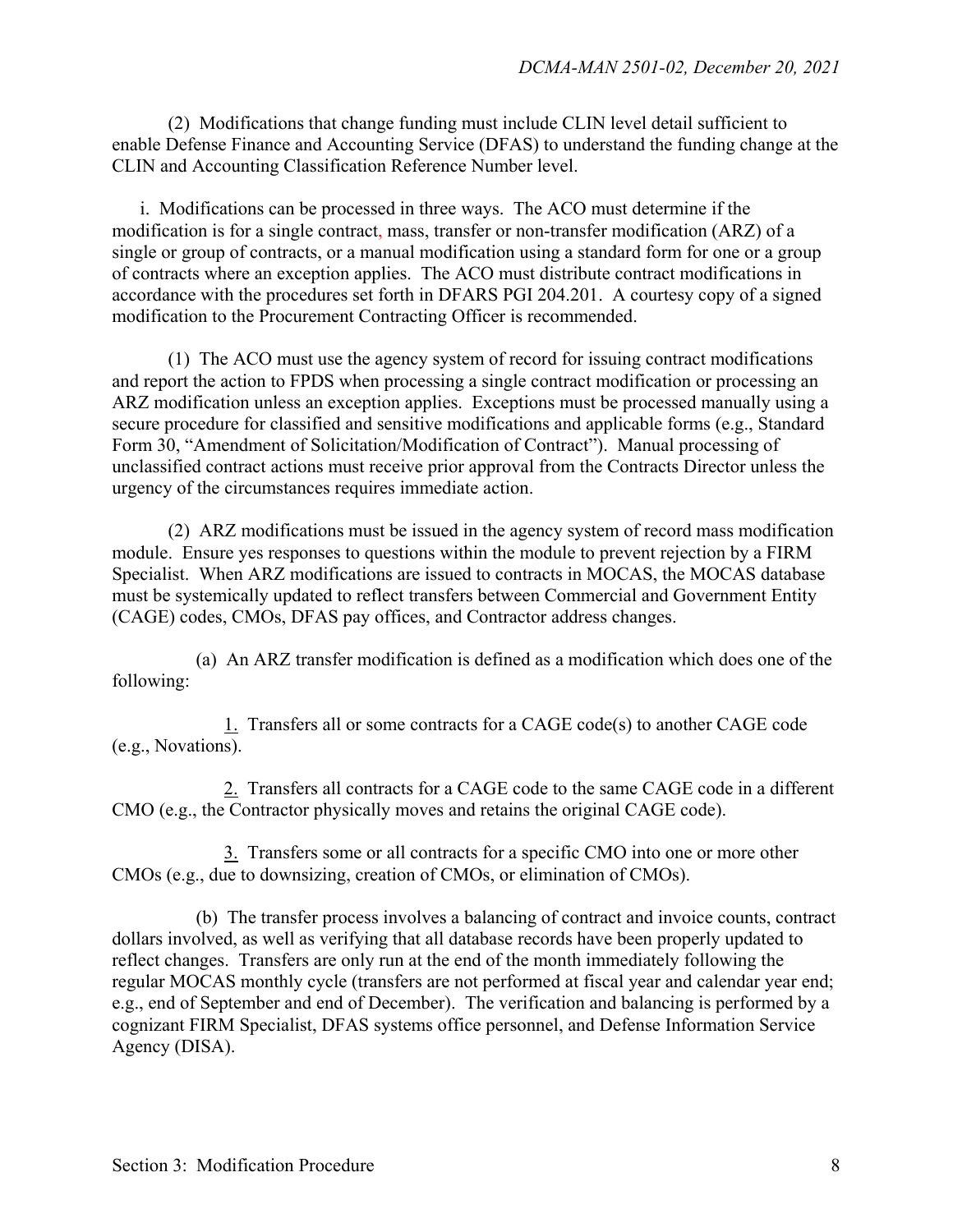(2) Modifications that change funding must include CLIN level detail sufficient to enable Defense Finance and Accounting Service (DFAS) to understand the funding change at the CLIN and Accounting Classification Reference Number level.

i. Modifications can be processed in three ways. The ACO must determine if the modification is for a single contract, mass, transfer or non-transfer modification (ARZ) of a single or group of contracts, or a manual modification using a standard form for one or a group of contracts where an exception applies. The ACO must distribute contract modifications in accordance with the procedures set forth in DFARS PGI 204.201. A courtesy copy of a signed modification to the Procurement Contracting Officer is recommended.

 (1) The ACO must use the agency system of record for issuing contract modifications and report the action to FPDS when processing a single contract modification or processing an ARZ modification unless an exception applies. Exceptions must be processed manually using a secure procedure for classified and sensitive modifications and applicable forms (e.g., Standard Form 30, "Amendment of Solicitation/Modification of Contract"). Manual processing of unclassified contract actions must receive prior approval from the Contracts Director unless the urgency of the circumstances requires immediate action.

 (2) ARZ modifications must be issued in the agency system of record mass modification module. Ensure yes responses to questions within the module to prevent rejection by a FIRM Specialist. When ARZ modifications are issued to contracts in MOCAS, the MOCAS database must be systemically updated to reflect transfers between Commercial and Government Entity (CAGE) codes, CMOs, DFAS pay offices, and Contractor address changes.

 (a) An ARZ transfer modification is defined as a modification which does one of the following:

 1. Transfers all or some contracts for a CAGE code(s) to another CAGE code (e.g., Novations).

 2. Transfers all contracts for a CAGE code to the same CAGE code in a different CMO (e.g., the Contractor physically moves and retains the original CAGE code).

 3. Transfers some or all contracts for a specific CMO into one or more other CMOs (e.g., due to downsizing, creation of CMOs, or elimination of CMOs).

 (b) The transfer process involves a balancing of contract and invoice counts, contract dollars involved, as well as verifying that all database records have been properly updated to reflect changes. Transfers are only run at the end of the month immediately following the regular MOCAS monthly cycle (transfers are not performed at fiscal year and calendar year end; e.g., end of September and end of December). The verification and balancing is performed by a cognizant FIRM Specialist, DFAS systems office personnel, and Defense Information Service Agency (DISA).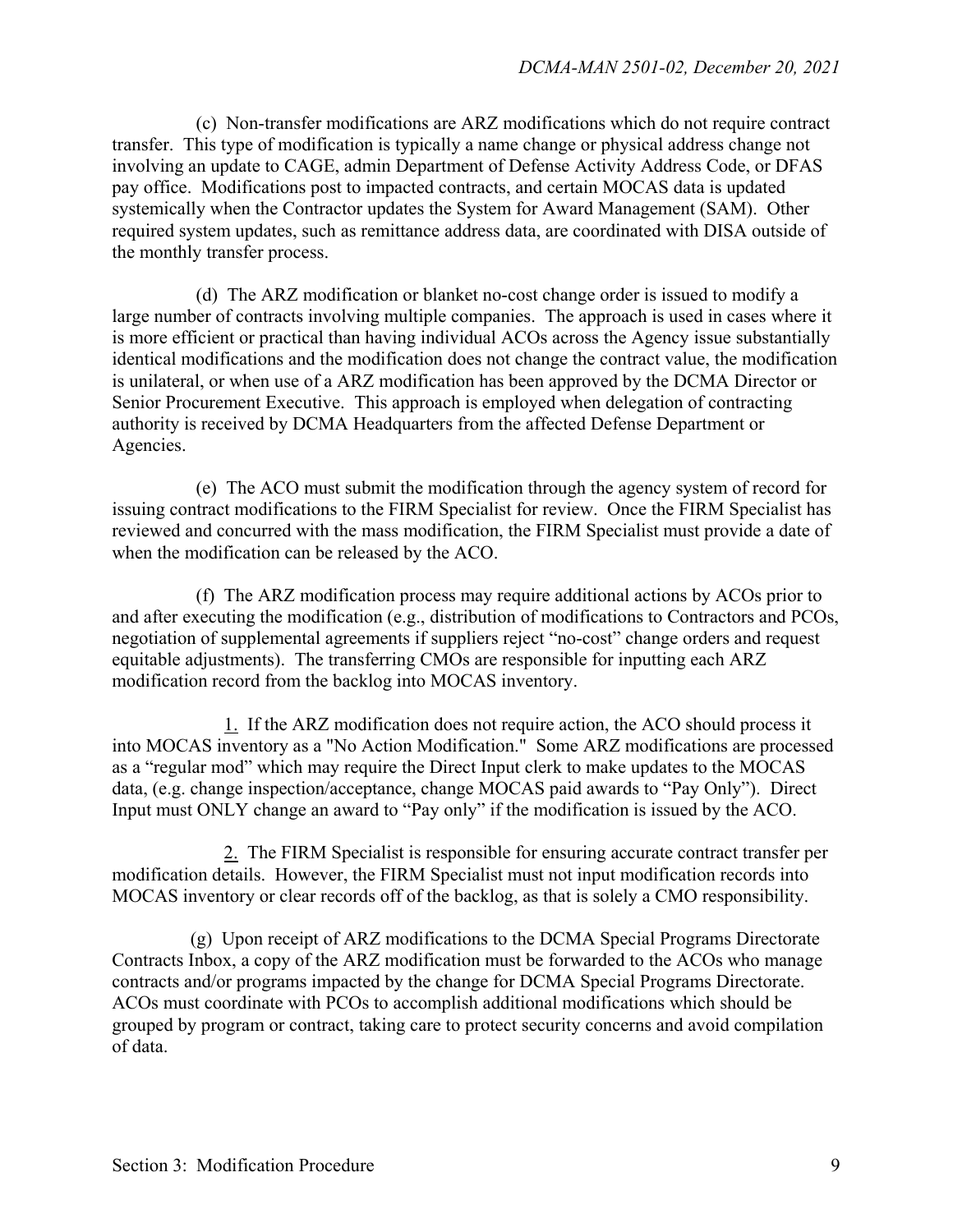(c) Non-transfer modifications are ARZ modifications which do not require contract transfer. This type of modification is typically a name change or physical address change not involving an update to CAGE, admin Department of Defense Activity Address Code, or DFAS pay office. Modifications post to impacted contracts, and certain MOCAS data is updated systemically when the Contractor updates the System for Award Management (SAM). Other required system updates, such as remittance address data, are coordinated with DISA outside of the monthly transfer process.

 (d) The ARZ modification or blanket no-cost change order is issued to modify a large number of contracts involving multiple companies. The approach is used in cases where it is more efficient or practical than having individual ACOs across the Agency issue substantially identical modifications and the modification does not change the contract value, the modification is unilateral, or when use of a ARZ modification has been approved by the DCMA Director or Senior Procurement Executive. This approach is employed when delegation of contracting authority is received by DCMA Headquarters from the affected Defense Department or Agencies.

 (e) The ACO must submit the modification through the agency system of record for issuing contract modifications to the FIRM Specialist for review. Once the FIRM Specialist has reviewed and concurred with the mass modification, the FIRM Specialist must provide a date of when the modification can be released by the ACO.

 (f) The ARZ modification process may require additional actions by ACOs prior to and after executing the modification (e.g., distribution of modifications to Contractors and PCOs, negotiation of supplemental agreements if suppliers reject "no-cost" change orders and request equitable adjustments). The transferring CMOs are responsible for inputting each ARZ modification record from the backlog into MOCAS inventory.

1. If the ARZ modification does not require action, the ACO should process it into MOCAS inventory as a "No Action Modification." Some ARZ modifications are processed as a "regular mod" which may require the Direct Input clerk to make updates to the MOCAS data, (e.g. change inspection/acceptance, change MOCAS paid awards to "Pay Only"). Direct Input must ONLY change an award to "Pay only" if the modification is issued by the ACO.

2. The FIRM Specialist is responsible for ensuring accurate contract transfer per modification details. However, the FIRM Specialist must not input modification records into MOCAS inventory or clear records off of the backlog, as that is solely a CMO responsibility.

(g) Upon receipt of ARZ modifications to the DCMA Special Programs Directorate Contracts Inbox, a copy of the ARZ modification must be forwarded to the ACOs who manage contracts and/or programs impacted by the change for DCMA Special Programs Directorate. ACOs must coordinate with PCOs to accomplish additional modifications which should be grouped by program or contract, taking care to protect security concerns and avoid compilation of data.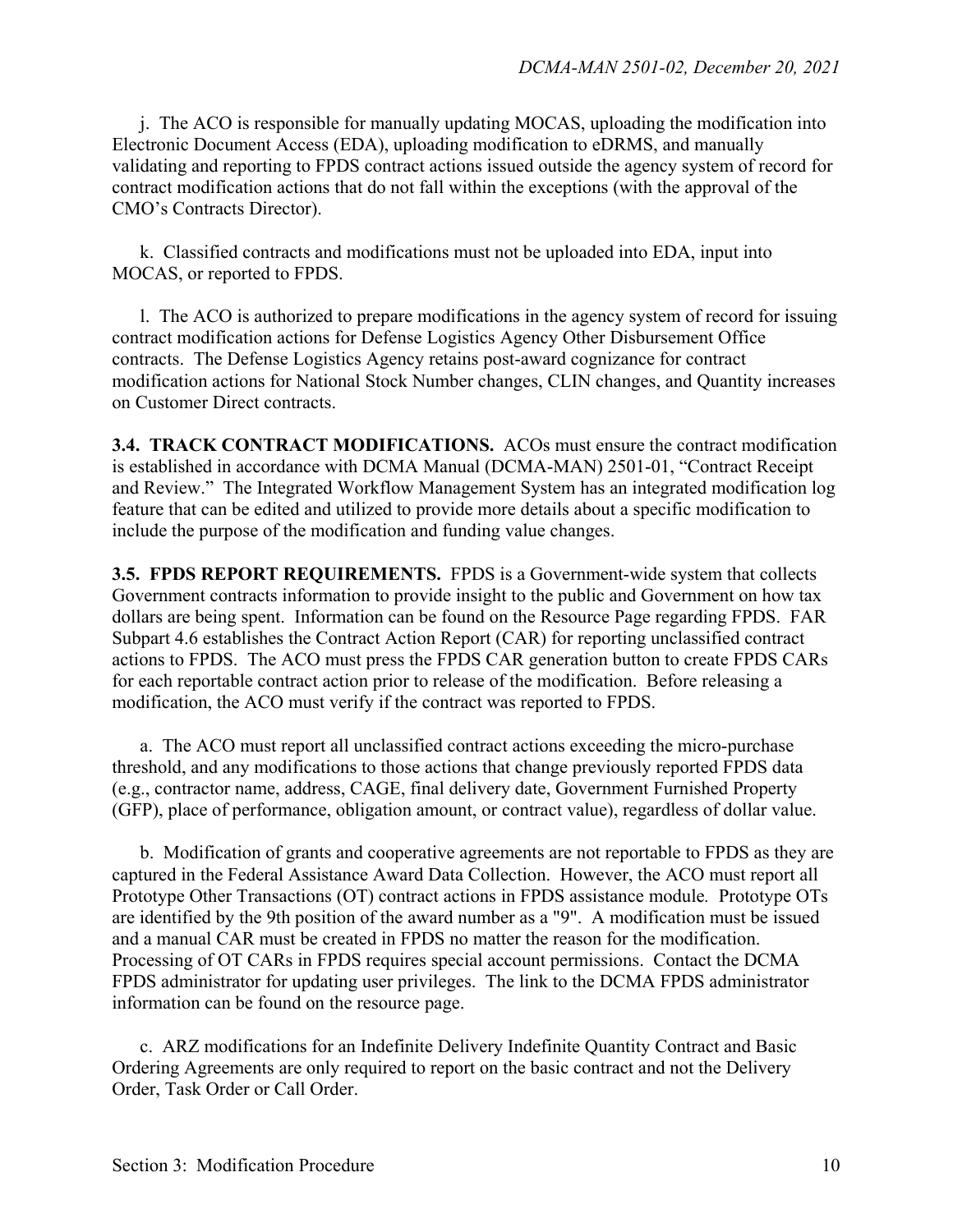j. The ACO is responsible for manually updating MOCAS, uploading the modification into Electronic Document Access (EDA), uploading modification to eDRMS, and manually validating and reporting to FPDS contract actions issued outside the agency system of record for contract modification actions that do not fall within the exceptions (with the approval of the CMO's Contracts Director).

 k. Classified contracts and modifications must not be uploaded into EDA, input into MOCAS, or reported to FPDS.

 l. The ACO is authorized to prepare modifications in the agency system of record for issuing contract modification actions for Defense Logistics Agency Other Disbursement Office contracts. The Defense Logistics Agency retains post-award cognizance for contract modification actions for National Stock Number changes, CLIN changes, and Quantity increases on Customer Direct contracts.

**3.4. TRACK CONTRACT MODIFICATIONS.** ACOs must ensure the contract modification is established in accordance with DCMA Manual (DCMA-MAN) 2501-01, "Contract Receipt and Review." The Integrated Workflow Management System has an integrated modification log feature that can be edited and utilized to provide more details about a specific modification to include the purpose of the modification and funding value changes.

**3.5. FPDS REPORT REQUIREMENTS.** FPDS is a Government-wide system that collects Government contracts information to provide insight to the public and Government on how tax dollars are being spent. Information can be found on the Resource Page regarding FPDS. FAR Subpart 4.6 establishes the Contract Action Report (CAR) for reporting unclassified contract actions to FPDS. The ACO must press the FPDS CAR generation button to create FPDS CARs for each reportable contract action prior to release of the modification. Before releasing a modification, the ACO must verify if the contract was reported to FPDS.

 a. The ACO must report all unclassified contract actions exceeding the micro-purchase threshold, and any modifications to those actions that change previously reported FPDS data (e.g., contractor name, address, CAGE, final delivery date, Government Furnished Property (GFP), place of performance, obligation amount, or contract value), regardless of dollar value.

b. Modification of grants and cooperative agreements are not reportable to FPDS as they are captured in the Federal Assistance Award Data Collection. However, the ACO must report all Prototype Other Transactions (OT) contract actions in FPDS assistance module*.* Prototype OTs are identified by the 9th position of the award number as a "9". A modification must be issued and a manual CAR must be created in FPDS no matter the reason for the modification. Processing of OT CARs in FPDS requires special account permissions. Contact the DCMA FPDS administrator for updating user privileges. The link to the DCMA FPDS administrator information can be found on the resource page.

c. ARZ modifications for an Indefinite Delivery Indefinite Quantity Contract and Basic Ordering Agreements are only required to report on the basic contract and not the Delivery Order, Task Order or Call Order.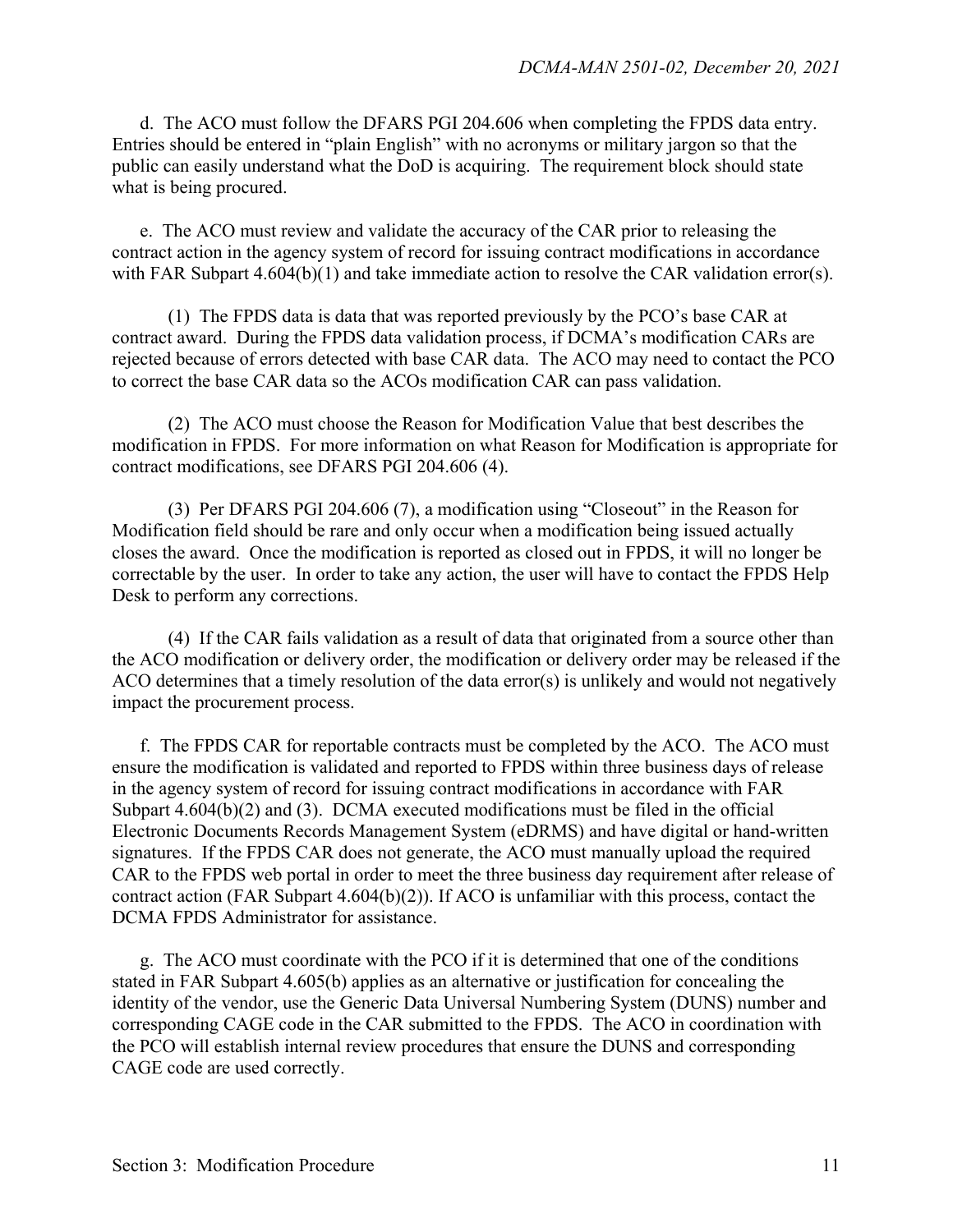d. The ACO must follow the DFARS PGI 204.606 when completing the FPDS data entry. Entries should be entered in "plain English" with no acronyms or military jargon so that the public can easily understand what the DoD is acquiring. The requirement block should state what is being procured.

e. The ACO must review and validate the accuracy of the CAR prior to releasing the contract action in the agency system of record for issuing contract modifications in accordance with FAR Subpart 4.604(b)(1) and take immediate action to resolve the CAR validation error(s).

(1) The FPDS data is data that was reported previously by the PCO's base CAR at contract award. During the FPDS data validation process, if DCMA's modification CARs are rejected because of errors detected with base CAR data. The ACO may need to contact the PCO to correct the base CAR data so the ACOs modification CAR can pass validation.

(2) The ACO must choose the Reason for Modification Value that best describes the modification in FPDS. For more information on what Reason for Modification is appropriate for contract modifications, see DFARS PGI 204.606 (4).

(3) Per DFARS PGI 204.606 (7), a modification using "Closeout" in the Reason for Modification field should be rare and only occur when a modification being issued actually closes the award. Once the modification is reported as closed out in FPDS, it will no longer be correctable by the user. In order to take any action, the user will have to contact the FPDS Help Desk to perform any corrections.

(4) If the CAR fails validation as a result of data that originated from a source other than the ACO modification or delivery order, the modification or delivery order may be released if the ACO determines that a timely resolution of the data error(s) is unlikely and would not negatively impact the procurement process.

f. The FPDS CAR for reportable contracts must be completed by the ACO. The ACO must ensure the modification is validated and reported to FPDS within three business days of release in the agency system of record for issuing contract modifications in accordance with FAR Subpart 4.604(b)(2) and (3). DCMA executed modifications must be filed in the official Electronic Documents Records Management System (eDRMS) and have digital or hand-written signatures. If the FPDS CAR does not generate, the ACO must manually upload the required CAR to the FPDS web portal in order to meet the three business day requirement after release of contract action (FAR Subpart 4.604(b)(2)). If ACO is unfamiliar with this process, contact the DCMA FPDS Administrator for assistance.

 g. The ACO must coordinate with the PCO if it is determined that one of the conditions stated in FAR Subpart 4.605(b) applies as an alternative or justification for concealing the identity of the vendor, use the Generic Data Universal Numbering System (DUNS) number and corresponding CAGE code in the CAR submitted to the FPDS. The ACO in coordination with the PCO will establish internal review procedures that ensure the DUNS and corresponding CAGE code are used correctly.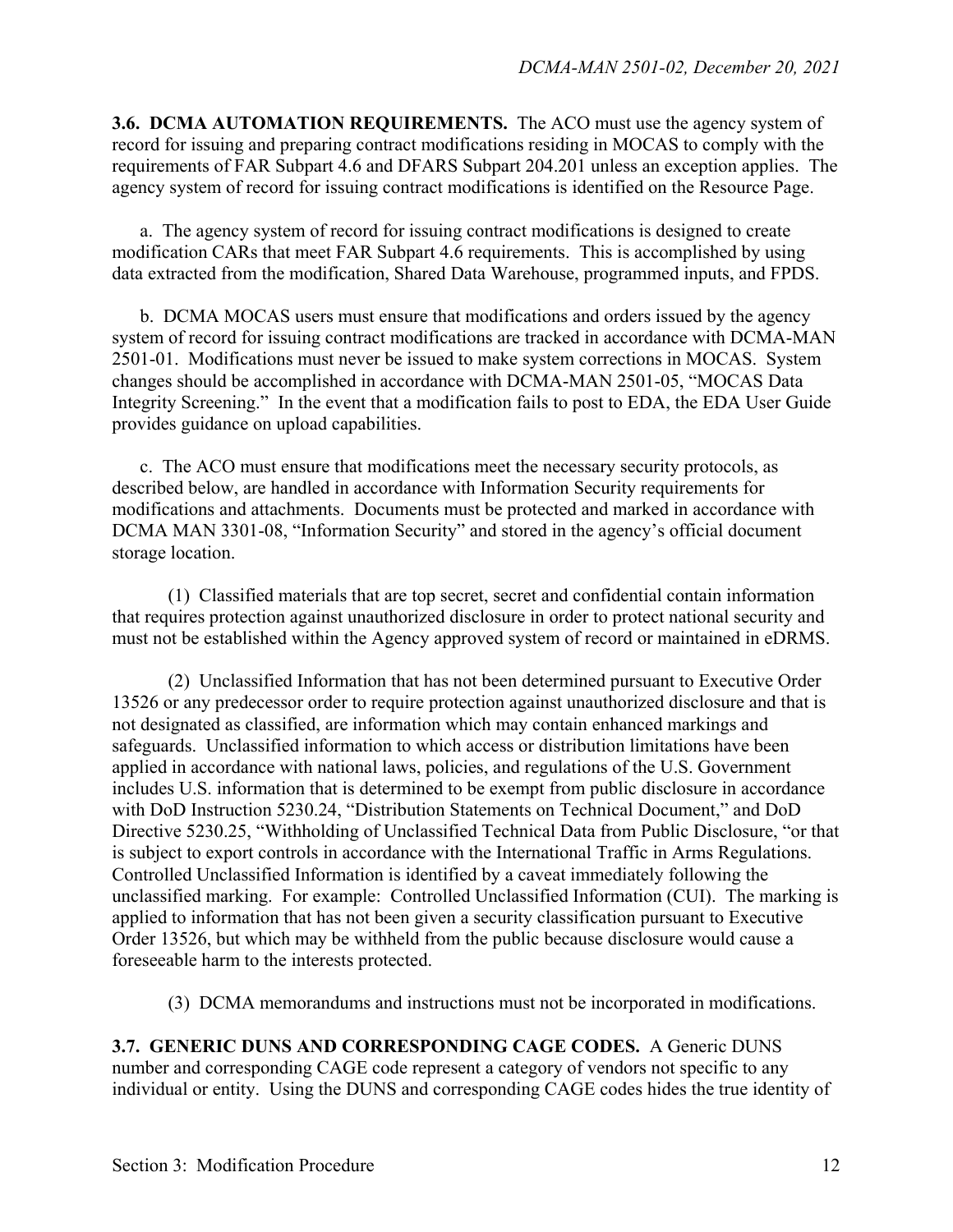**3.6. DCMA AUTOMATION REQUIREMENTS.** The ACO must use the agency system of record for issuing and preparing contract modifications residing in MOCAS to comply with the requirements of FAR Subpart 4.6 and DFARS Subpart 204.201 unless an exception applies. The agency system of record for issuing contract modifications is identified on the Resource Page.

 a. The agency system of record for issuing contract modifications is designed to create modification CARs that meet FAR Subpart 4.6 requirements. This is accomplished by using data extracted from the modification, Shared Data Warehouse, programmed inputs, and FPDS.

 b. DCMA MOCAS users must ensure that modifications and orders issued by the agency system of record for issuing contract modifications are tracked in accordance with DCMA-MAN 2501-01. Modifications must never be issued to make system corrections in MOCAS. System changes should be accomplished in accordance with DCMA-MAN 2501-05, "MOCAS Data Integrity Screening." In the event that a modification fails to post to EDA, the EDA User Guide provides guidance on upload capabilities.

 c. The ACO must ensure that modifications meet the necessary security protocols, as described below, are handled in accordance with Information Security requirements for modifications and attachments. Documents must be protected and marked in accordance with DCMA MAN 3301-08, "Information Security" and stored in the agency's official document storage location.

 (1) Classified materials that are top secret, secret and confidential contain information that requires protection against unauthorized disclosure in order to protect national security and must not be established within the Agency approved system of record or maintained in eDRMS.

 (2) Unclassified Information that has not been determined pursuant to Executive Order 13526 or any predecessor order to require protection against unauthorized disclosure and that is not designated as classified, are information which may contain enhanced markings and safeguards. Unclassified information to which access or distribution limitations have been applied in accordance with national laws, policies, and regulations of the U.S. Government includes U.S. information that is determined to be exempt from public disclosure in accordance with DoD Instruction 5230.24, "Distribution Statements on Technical Document," and DoD Directive 5230.25, "Withholding of Unclassified Technical Data from Public Disclosure, "or that is subject to export controls in accordance with the International Traffic in Arms Regulations. Controlled Unclassified Information is identified by a caveat immediately following the unclassified marking. For example: Controlled Unclassified Information (CUI). The marking is applied to information that has not been given a security classification pursuant to Executive Order 13526, but which may be withheld from the public because disclosure would cause a foreseeable harm to the interests protected.

(3) DCMA memorandums and instructions must not be incorporated in modifications.

**3.7. GENERIC DUNS AND CORRESPONDING CAGE CODES.** A Generic DUNS number and corresponding CAGE code represent a category of vendors not specific to any individual or entity. Using the DUNS and corresponding CAGE codes hides the true identity of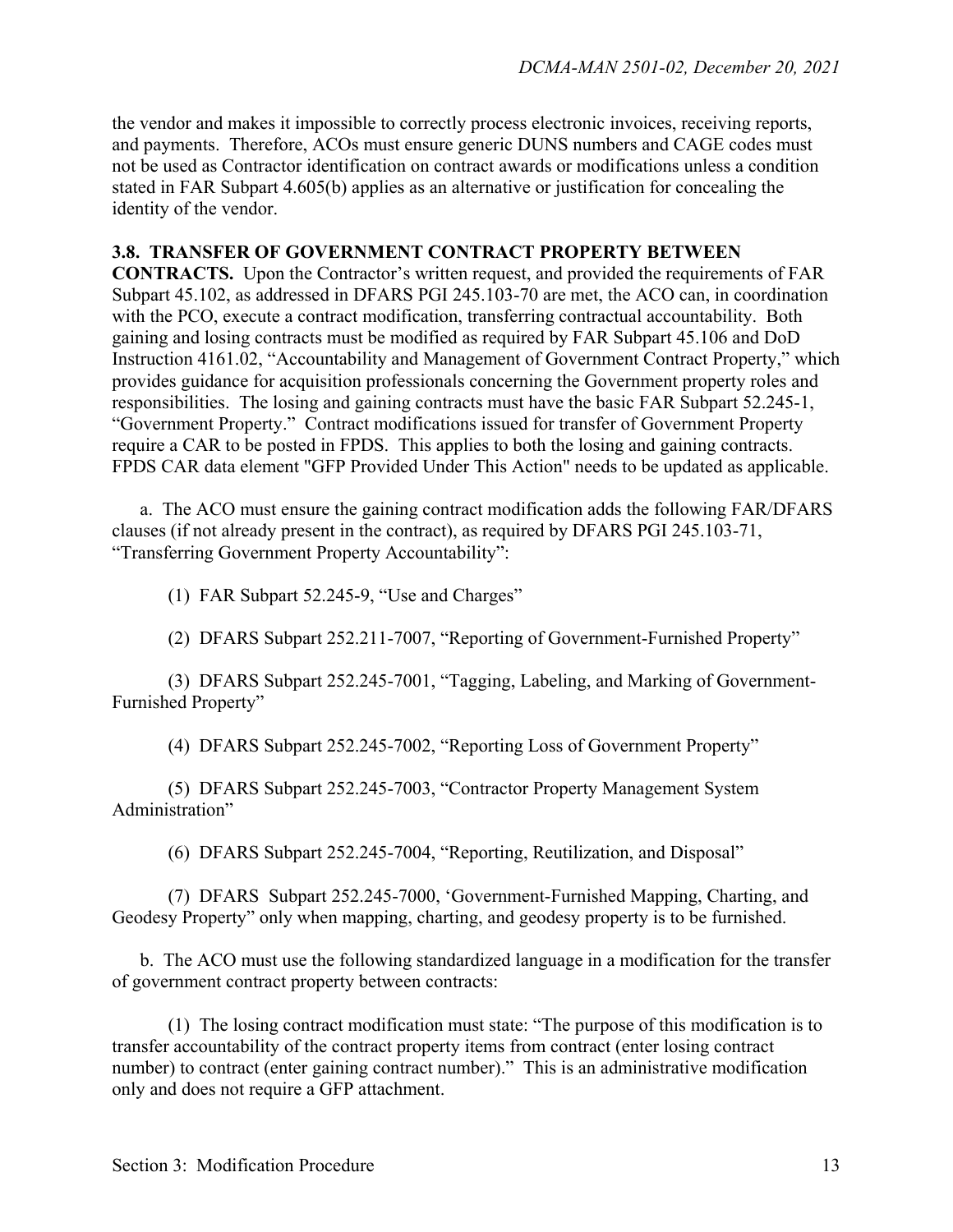the vendor and makes it impossible to correctly process electronic invoices, receiving reports, and payments. Therefore, ACOs must ensure generic DUNS numbers and CAGE codes must not be used as Contractor identification on contract awards or modifications unless a condition stated in FAR Subpart 4.605(b) applies as an alternative or justification for concealing the identity of the vendor.

#### **3.8. TRANSFER OF GOVERNMENT CONTRACT PROPERTY BETWEEN**

**CONTRACTS.** Upon the Contractor's written request, and provided the requirements of FAR Subpart 45.102, as addressed in DFARS PGI 245.103-70 are met, the ACO can, in coordination with the PCO, execute a contract modification, transferring contractual accountability. Both gaining and losing contracts must be modified as required by FAR Subpart 45.106 and DoD Instruction 4161.02, "Accountability and Management of Government Contract Property," which provides guidance for acquisition professionals concerning the Government property roles and responsibilities. The losing and gaining contracts must have the basic FAR Subpart 52.245-1, "Government Property." Contract modifications issued for transfer of Government Property require a CAR to be posted in FPDS. This applies to both the losing and gaining contracts. FPDS CAR data element "GFP Provided Under This Action" needs to be updated as applicable.

 a. The ACO must ensure the gaining contract modification adds the following FAR/DFARS clauses (if not already present in the contract), as required by DFARS PGI 245.103-71, "Transferring Government Property Accountability":

(1) FAR Subpart 52.245-9, "Use and Charges"

(2) DFARS Subpart 252.211-7007, "Reporting of Government-Furnished Property"

 (3) DFARS Subpart 252.245-7001, "Tagging, Labeling, and Marking of Government-Furnished Property"

(4) DFARS Subpart 252.245-7002, "Reporting Loss of Government Property"

 (5) DFARS Subpart 252.245-7003, "Contractor Property Management System Administration"

(6) DFARS Subpart 252.245-7004, "Reporting, Reutilization, and Disposal"

 (7) DFARS Subpart 252.245-7000, 'Government-Furnished Mapping, Charting, and Geodesy Property" only when mapping, charting, and geodesy property is to be furnished.

 b. The ACO must use the following standardized language in a modification for the transfer of government contract property between contracts:

 (1) The losing contract modification must state: "The purpose of this modification is to transfer accountability of the contract property items from contract (enter losing contract number) to contract (enter gaining contract number)." This is an administrative modification only and does not require a GFP attachment.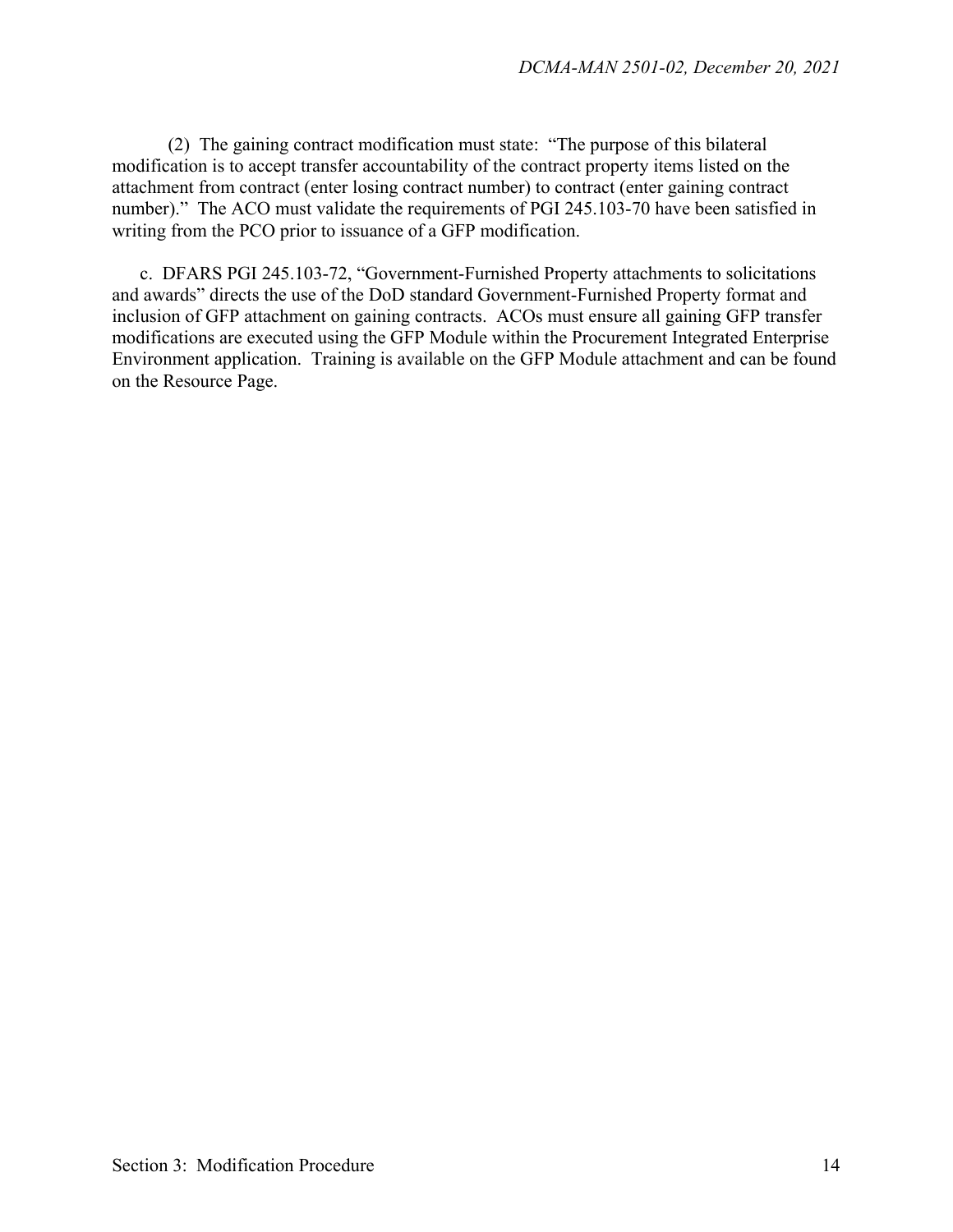(2) The gaining contract modification must state: "The purpose of this bilateral modification is to accept transfer accountability of the contract property items listed on the attachment from contract (enter losing contract number) to contract (enter gaining contract number)." The ACO must validate the requirements of PGI 245.103-70 have been satisfied in writing from the PCO prior to issuance of a GFP modification.

 c. DFARS PGI 245.103-72, "Government-Furnished Property attachments to solicitations and awards" directs the use of the DoD standard Government-Furnished Property format and inclusion of GFP attachment on gaining contracts. ACOs must ensure all gaining GFP transfer modifications are executed using the GFP Module within the Procurement Integrated Enterprise Environment application. Training is available on the GFP Module attachment and can be found on the Resource Page.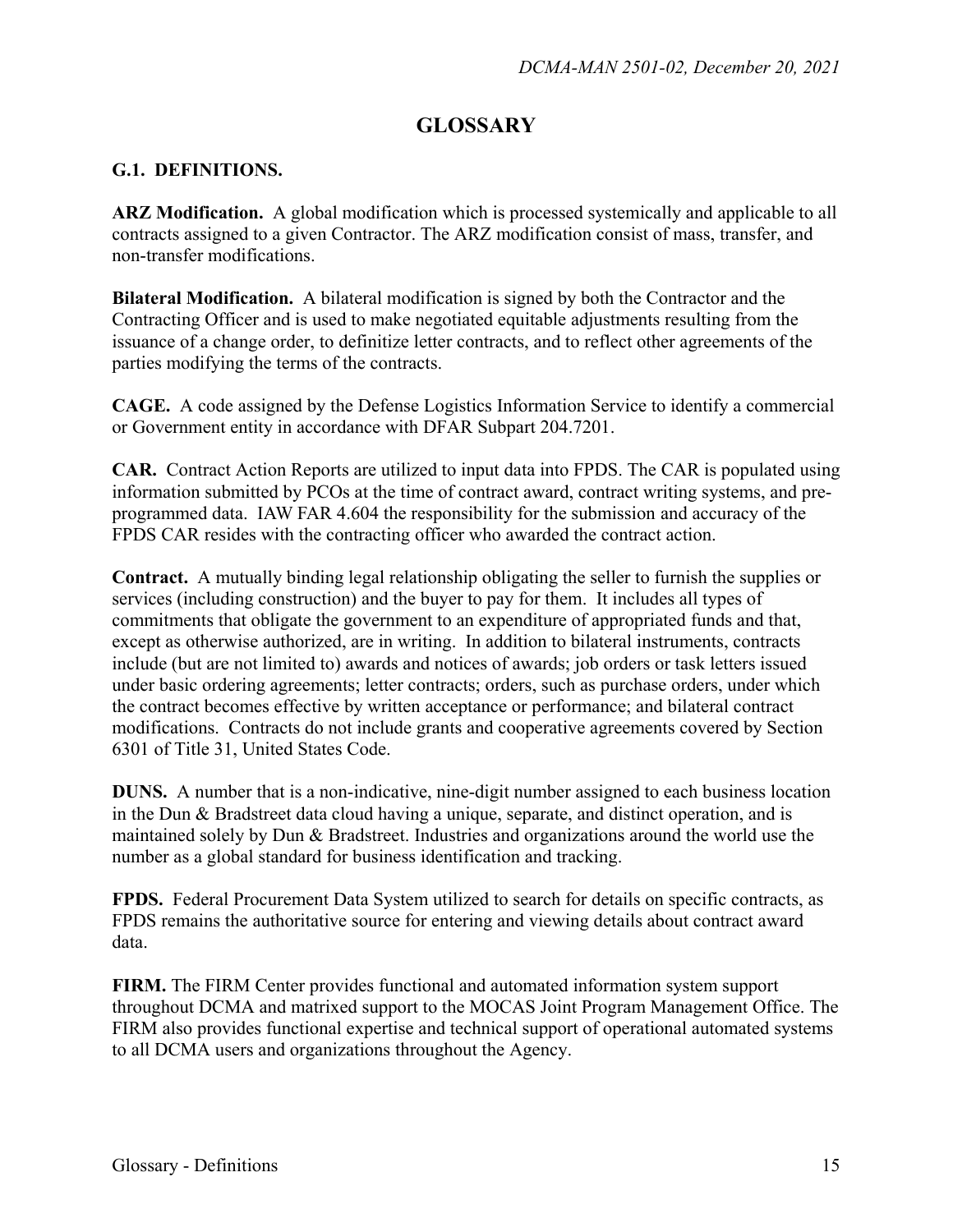## **GLOSSARY**

#### **G.1. DEFINITIONS.**

**ARZ Modification.** A global modification which is processed systemically and applicable to all contracts assigned to a given Contractor. The ARZ modification consist of mass, transfer, and non-transfer modifications.

**Bilateral Modification.** A bilateral modification is signed by both the Contractor and the Contracting Officer and is used to make negotiated equitable adjustments resulting from the issuance of a change order, to definitize letter contracts, and to reflect other agreements of the parties modifying the terms of the contracts.

**CAGE.** A code assigned by the Defense Logistics Information Service to identify a commercial or Government entity in accordance with DFAR Subpart 204.7201.

**CAR.** Contract Action Reports are utilized to input data into FPDS. The CAR is populated using information submitted by PCOs at the time of contract award, contract writing systems, and preprogrammed data. IAW FAR 4.604 the responsibility for the submission and accuracy of the FPDS CAR resides with the contracting officer who awarded the contract action.

**Contract.** A mutually binding legal relationship obligating the seller to furnish the supplies or services (including construction) and the buyer to pay for them. It includes all types of commitments that obligate the government to an expenditure of appropriated funds and that, except as otherwise authorized, are in writing. In addition to bilateral instruments, contracts include (but are not limited to) awards and notices of awards; job orders or task letters issued under basic ordering agreements; letter contracts; orders, such as purchase orders, under which the contract becomes effective by written acceptance or performance; and bilateral contract modifications. Contracts do not include grants and cooperative agreements covered by Section 6301 of Title 31, United States Code.

**DUNS.** A number that is a non-indicative, nine-digit number assigned to each business location in the Dun & Bradstreet data cloud having a unique, separate, and distinct operation, and is maintained solely by Dun & Bradstreet. Industries and organizations around the world use the number as a global standard for business identification and tracking.

**FPDS.** Federal Procurement Data System utilized to search for details on specific contracts, as FPDS remains the authoritative source for entering and viewing details about contract award data.

**FIRM.** The FIRM Center provides functional and automated information system support throughout DCMA and matrixed support to the MOCAS Joint Program Management Office. The FIRM also provides functional expertise and technical support of operational automated systems to all DCMA users and organizations throughout the Agency.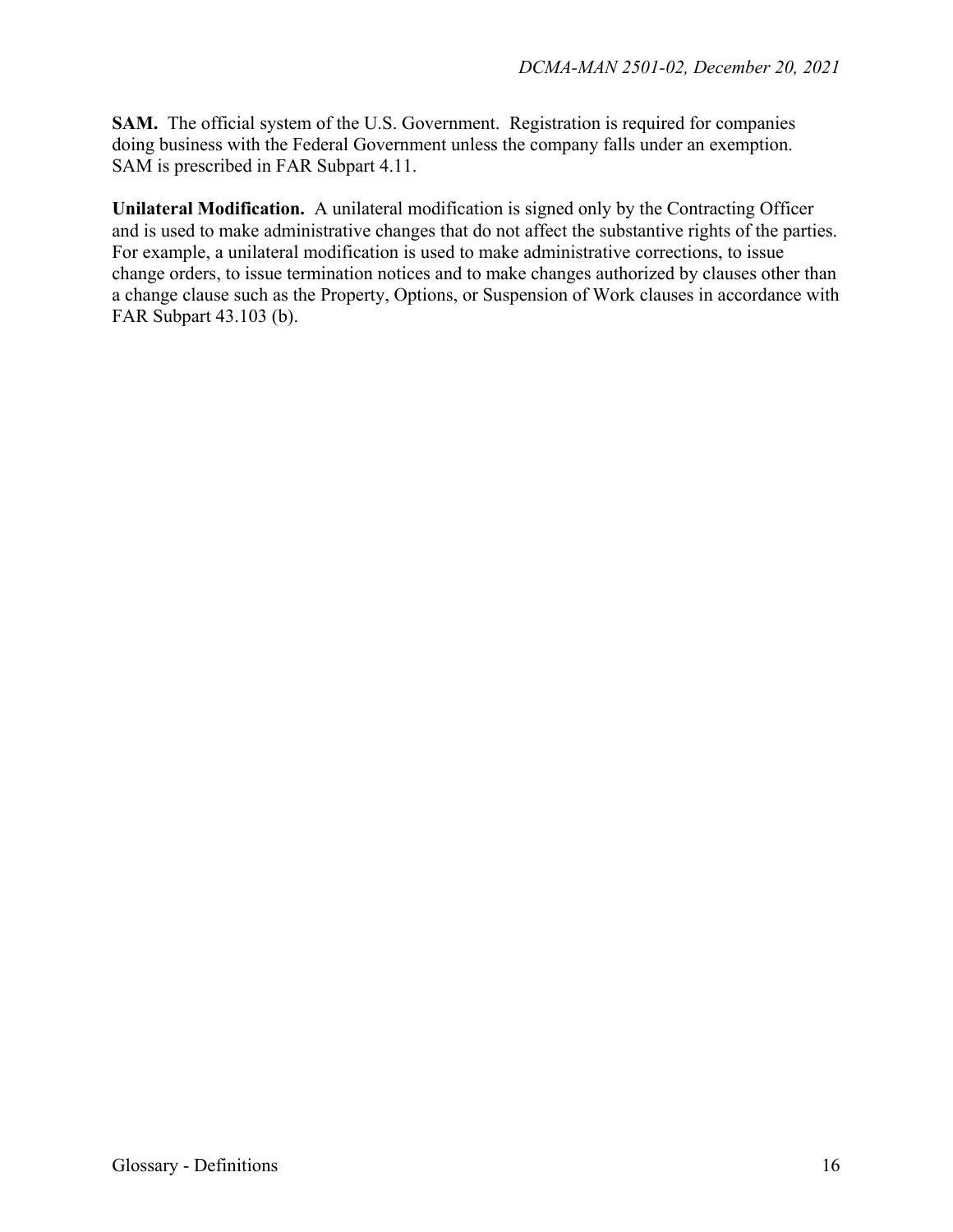**SAM.** The official system of the U.S. Government. Registration is required for companies doing business with the Federal Government unless the company falls under an exemption. SAM is prescribed in FAR Subpart 4.11.

**Unilateral Modification.** A unilateral modification is signed only by the Contracting Officer and is used to make administrative changes that do not affect the substantive rights of the parties. For example, a unilateral modification is used to make administrative corrections, to issue change orders, to issue termination notices and to make changes authorized by clauses other than a change clause such as the Property, Options, or Suspension of Work clauses in accordance with FAR Subpart 43.103 (b).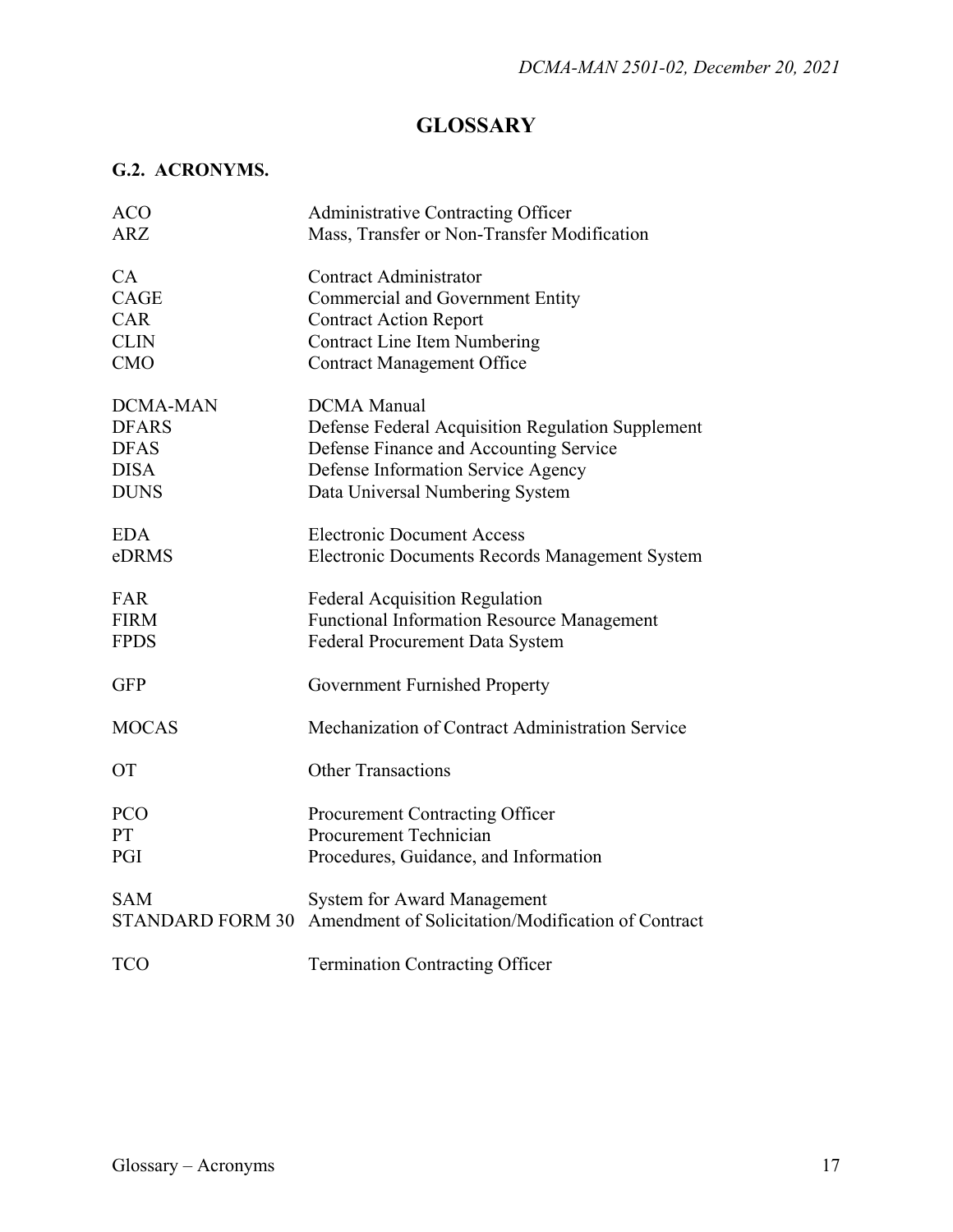## **GLOSSARY**

## **G.2. ACRONYMS.**

| Administrative Contracting Officer                                            |
|-------------------------------------------------------------------------------|
| Mass, Transfer or Non-Transfer Modification                                   |
| <b>Contract Administrator</b>                                                 |
| Commercial and Government Entity                                              |
| <b>Contract Action Report</b>                                                 |
| <b>Contract Line Item Numbering</b>                                           |
| <b>Contract Management Office</b>                                             |
| <b>DCMA</b> Manual                                                            |
| Defense Federal Acquisition Regulation Supplement                             |
| Defense Finance and Accounting Service                                        |
| Defense Information Service Agency                                            |
| Data Universal Numbering System                                               |
| <b>Electronic Document Access</b>                                             |
| Electronic Documents Records Management System                                |
| <b>Federal Acquisition Regulation</b>                                         |
| <b>Functional Information Resource Management</b>                             |
| Federal Procurement Data System                                               |
| Government Furnished Property                                                 |
| Mechanization of Contract Administration Service                              |
|                                                                               |
| <b>Other Transactions</b>                                                     |
| <b>Procurement Contracting Officer</b>                                        |
| Procurement Technician                                                        |
| Procedures, Guidance, and Information                                         |
| <b>System for Award Management</b>                                            |
| Amendment of Solicitation/Modification of Contract<br><b>STANDARD FORM 30</b> |
| <b>Termination Contracting Officer</b>                                        |
|                                                                               |